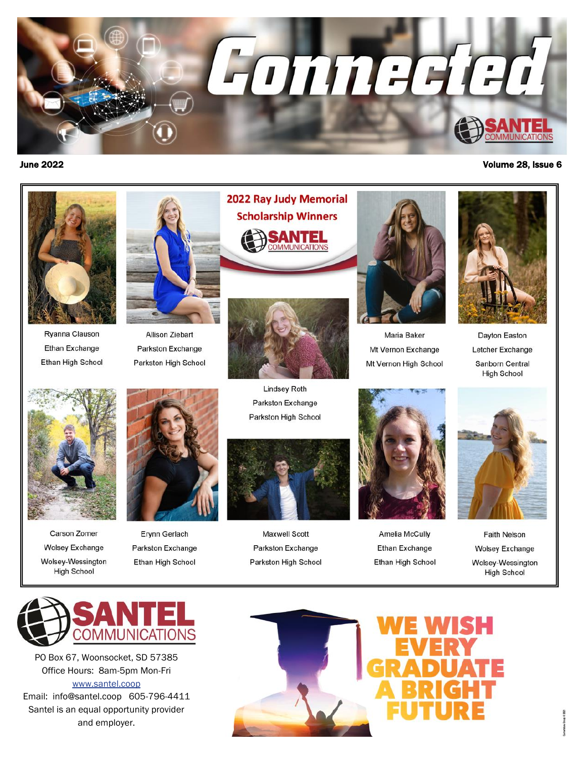



Ryanna Clauson Ethan Exchange **Ethan High School** 

Carson Zomer

**Wolsey Exchange** 

Wolsey-Wessington

**High School** 



**Allison Ziebart** Parkston Exchange Parkston High School

Erynn Gerlach

Parkston Exchange

Ethan High School





**Lindsey Roth** Parkston Exchange Parkston High School



**Maxwell Scott** Parkston Exchange Parkston High School



Maria Baker Mt Vernon Exchange Mt Vernon High School



**Amelia McCully Ethan Exchange** Ethan High School



Dayton Easton Letcher Exchange Sanborn Central **High School** 



**Faith Nelson Wolsey Exchange** Wolsey-Wessington **High School** 



PO Box 67, Woonsocket, SD 57385 Office Hours: 8am-5pm Mon-Fri www.santel.coop Email: info@santel.coop 605-796-4411

Santel is an equal opportunity provider and employer.





#### June 2022 Volume 28, Issue 6